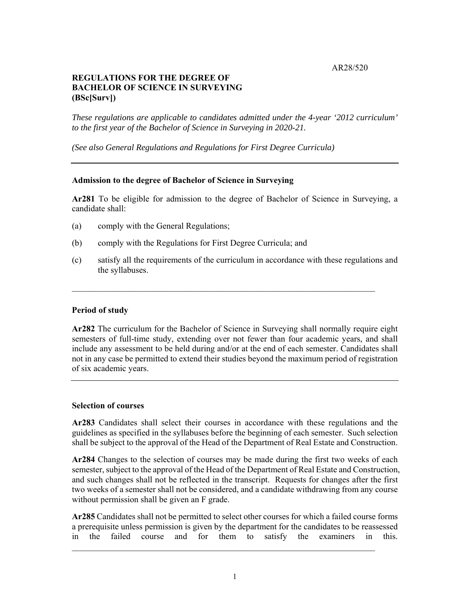AR28/520

# **REGULATIONS FOR THE DEGREE OF BACHELOR OF SCIENCE IN SURVEYING (BSc[Surv])**

*These regulations are applicable to candidates admitted under the 4-year '2012 curriculum' to the first year of the Bachelor of Science in Surveying in 2020-21.* 

*(See also General Regulations and Regulations for First Degree Curricula)* 

# **Admission to the degree of Bachelor of Science in Surveying**

**Ar281** To be eligible for admission to the degree of Bachelor of Science in Surveying, a candidate shall:

- (a) comply with the General Regulations;
- (b) comply with the Regulations for First Degree Curricula; and
- (c) satisfy all the requirements of the curriculum in accordance with these regulations and the syllabuses.

 $\_$  , and the contribution of the contribution of  $\mathcal{L}_\mathcal{A}$  , and the contribution of  $\mathcal{L}_\mathcal{A}$ 

## **Period of study**

**Ar282** The curriculum for the Bachelor of Science in Surveying shall normally require eight semesters of full-time study, extending over not fewer than four academic years, and shall include any assessment to be held during and/or at the end of each semester. Candidates shall not in any case be permitted to extend their studies beyond the maximum period of registration of six academic years.

## **Selection of courses**

**Ar283** Candidates shall select their courses in accordance with these regulations and the guidelines as specified in the syllabuses before the beginning of each semester. Such selection shall be subject to the approval of the Head of the Department of Real Estate and Construction.

**Ar284** Changes to the selection of courses may be made during the first two weeks of each semester, subject to the approval of the Head of the Department of Real Estate and Construction, and such changes shall not be reflected in the transcript. Requests for changes after the first two weeks of a semester shall not be considered, and a candidate withdrawing from any course without permission shall be given an F grade.

**Ar285** Candidates shall not be permitted to select other courses for which a failed course forms a prerequisite unless permission is given by the department for the candidates to be reassessed in the failed course and for them to satisfy the examiners in this.

 $\mathcal{L}_\text{max} = \frac{1}{2} \sum_{i=1}^n \mathcal{L}_\text{max}(\mathbf{x}_i - \mathbf{y}_i)$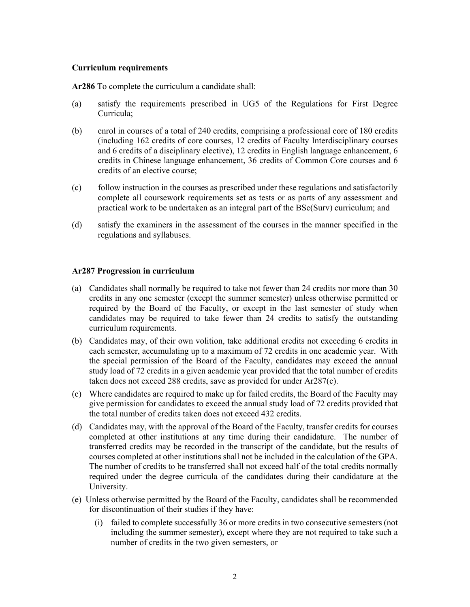### **Curriculum requirements**

**Ar286** To complete the curriculum a candidate shall:

- (a) satisfy the requirements prescribed in UG5 of the Regulations for First Degree Curricula;
- (b) enrol in courses of a total of 240 credits, comprising a professional core of 180 credits (including 162 credits of core courses, 12 credits of Faculty Interdisciplinary courses and 6 credits of a disciplinary elective), 12 credits in English language enhancement, 6 credits in Chinese language enhancement, 36 credits of Common Core courses and 6 credits of an elective course;
- (c) follow instruction in the courses as prescribed under these regulations and satisfactorily complete all coursework requirements set as tests or as parts of any assessment and practical work to be undertaken as an integral part of the BSc(Surv) curriculum; and
- (d) satisfy the examiners in the assessment of the courses in the manner specified in the regulations and syllabuses.

### **Ar287 Progression in curriculum**

- (a) Candidates shall normally be required to take not fewer than 24 credits nor more than 30 credits in any one semester (except the summer semester) unless otherwise permitted or required by the Board of the Faculty, or except in the last semester of study when candidates may be required to take fewer than 24 credits to satisfy the outstanding curriculum requirements.
- (b) Candidates may, of their own volition, take additional credits not exceeding 6 credits in each semester, accumulating up to a maximum of 72 credits in one academic year. With the special permission of the Board of the Faculty, candidates may exceed the annual study load of 72 credits in a given academic year provided that the total number of credits taken does not exceed 288 credits, save as provided for under Ar287(c).
- (c) Where candidates are required to make up for failed credits, the Board of the Faculty may give permission for candidates to exceed the annual study load of 72 credits provided that the total number of credits taken does not exceed 432 credits.
- (d) Candidates may, with the approval of the Board of the Faculty, transfer credits for courses completed at other institutions at any time during their candidature. The number of transferred credits may be recorded in the transcript of the candidate, but the results of courses completed at other institutions shall not be included in the calculation of the GPA. The number of credits to be transferred shall not exceed half of the total credits normally required under the degree curricula of the candidates during their candidature at the University.
- (e) Unless otherwise permitted by the Board of the Faculty, candidates shall be recommended for discontinuation of their studies if they have:
	- (i) failed to complete successfully 36 or more credits in two consecutive semesters (not including the summer semester), except where they are not required to take such a number of credits in the two given semesters, or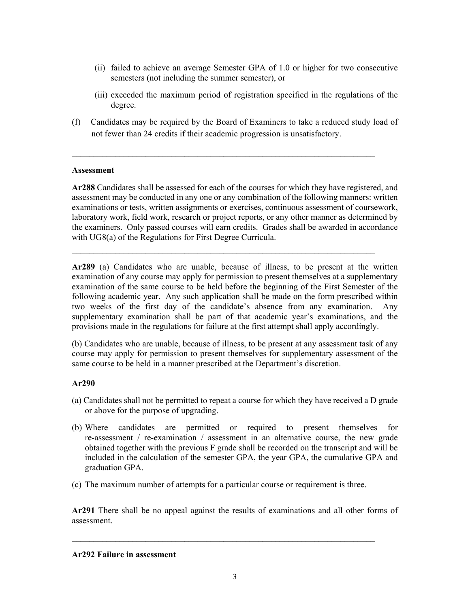- (ii) failed to achieve an average Semester GPA of 1.0 or higher for two consecutive semesters (not including the summer semester), or
- (iii) exceeded the maximum period of registration specified in the regulations of the degree.
- (f)Candidates may be required by the Board of Examiners to take a reduced study load of not fewer than 24 credits if their academic progression is unsatisfactory.

 $\_$  , and the contribution of the contribution of  $\mathcal{L}_\mathcal{A}$  , and the contribution of  $\mathcal{L}_\mathcal{A}$ 

# **Assessment**

**Ar288** Candidates shall be assessed for each of the courses for which they have registered, and assessment may be conducted in any one or any combination of the following manners: written examinations or tests, written assignments or exercises, continuous assessment of coursework, laboratory work, field work, research or project reports, or any other manner as determined by the examiners. Only passed courses will earn credits. Grades shall be awarded in accordance with UG8(a) of the Regulations for First Degree Curricula.

 $\_$  , and the contribution of the contribution of  $\mathcal{L}_\mathcal{A}$  , and the contribution of  $\mathcal{L}_\mathcal{A}$ 

**Ar289** (a) Candidates who are unable, because of illness, to be present at the written examination of any course may apply for permission to present themselves at a supplementary examination of the same course to be held before the beginning of the First Semester of the following academic year. Any such application shall be made on the form prescribed within two weeks of the first day of the candidate's absence from any examination. Any supplementary examination shall be part of that academic year's examinations, and the provisions made in the regulations for failure at the first attempt shall apply accordingly.

(b) Candidates who are unable, because of illness, to be present at any assessment task of any course may apply for permission to present themselves for supplementary assessment of the same course to be held in a manner prescribed at the Department's discretion.

# **Ar290**

- (a) Candidates shall not be permitted to repeat a course for which they have received a D grade or above for the purpose of upgrading.
- (b) Where candidates are permitted or required to present themselves for re-assessment / re-examination / assessment in an alternative course, the new grade obtained together with the previous F grade shall be recorded on the transcript and will be included in the calculation of the semester GPA, the year GPA, the cumulative GPA and graduation GPA.
- (c) The maximum number of attempts for a particular course or requirement is three.

**Ar291** There shall be no appeal against the results of examinations and all other forms of assessment.

## **Ar292 Failure in assessment**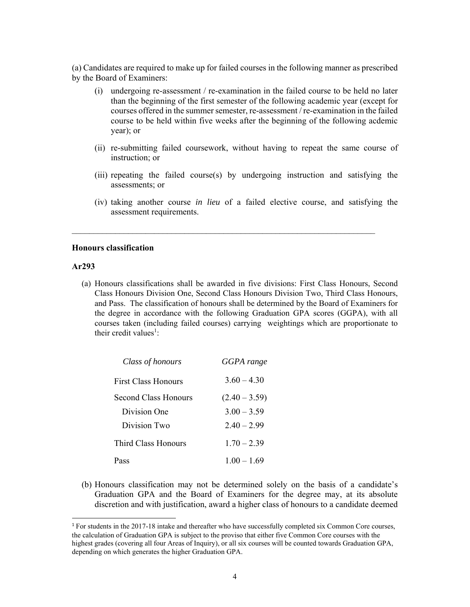(a) Candidates are required to make up for failed courses in the following manner as prescribed by the Board of Examiners:

- (i) undergoing re-assessment / re-examination in the failed course to be held no later than the beginning of the first semester of the following academic year (except for courses offered in the summer semester, re-assessment / re-examination in the failed course to be held within five weeks after the beginning of the following acdemic year); or
- (ii) re-submitting failed coursework, without having to repeat the same course of instruction; or
- (iii) repeating the failed course(s) by undergoing instruction and satisfying the assessments; or
- (iv) taking another course *in lieu* of a failed elective course, and satisfying the assessment requirements.

### **Honours classification**

### **Ar293**

(a) Honours classifications shall be awarded in five divisions: First Class Honours, Second Class Honours Division One, Second Class Honours Division Two, Third Class Honours, and Pass. The classification of honours shall be determined by the Board of Examiners for the degree in accordance with the following Graduation GPA scores (GGPA), with all courses taken (including failed courses) carrying weightings which are proportionate to their credit values<sup>1</sup>:

| Class of honours     | GGPA range      |
|----------------------|-----------------|
| First Class Honours  | $3.60 - 4.30$   |
| Second Class Honours | $(2.40 - 3.59)$ |
| Division One         | $3.00 - 3.59$   |
| Division Two         | $2.40 - 2.99$   |
| Third Class Honours  | $1.70 - 2.39$   |
| Pass                 | $1.00 - 1.69$   |

(b) Honours classification may not be determined solely on the basis of a candidate's Graduation GPA and the Board of Examiners for the degree may, at its absolute discretion and with justification, award a higher class of honours to a candidate deemed

<sup>1</sup> For students in the 2017-18 intake and thereafter who have successfully completed six Common Core courses, the calculation of Graduation GPA is subject to the proviso that either five Common Core courses with the highest grades (covering all four Areas of Inquiry), or all six courses will be counted towards Graduation GPA, depending on which generates the higher Graduation GPA.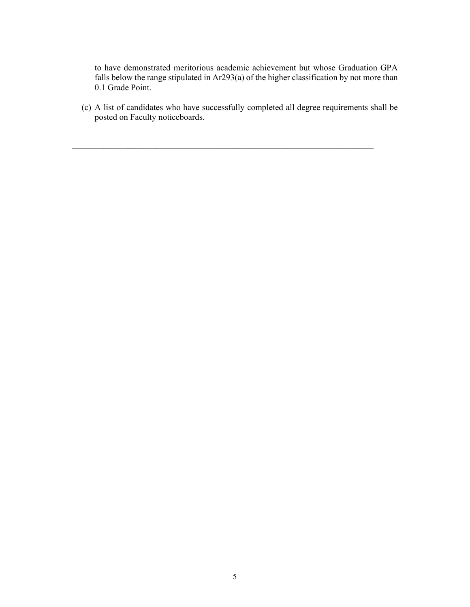to have demonstrated meritorious academic achievement but whose Graduation GPA falls below the range stipulated in Ar293(a) of the higher classification by not more than 0.1 Grade Point.

(c) A list of candidates who have successfully completed all degree requirements shall be posted on Faculty noticeboards.

 $\mathcal{L}_\mathcal{L} = \{ \mathcal{L}_\mathcal{L} = \{ \mathcal{L}_\mathcal{L} = \{ \mathcal{L}_\mathcal{L} = \{ \mathcal{L}_\mathcal{L} = \{ \mathcal{L}_\mathcal{L} = \{ \mathcal{L}_\mathcal{L} = \{ \mathcal{L}_\mathcal{L} = \{ \mathcal{L}_\mathcal{L} = \{ \mathcal{L}_\mathcal{L} = \{ \mathcal{L}_\mathcal{L} = \{ \mathcal{L}_\mathcal{L} = \{ \mathcal{L}_\mathcal{L} = \{ \mathcal{L}_\mathcal{L} = \{ \mathcal{L}_\mathcal{$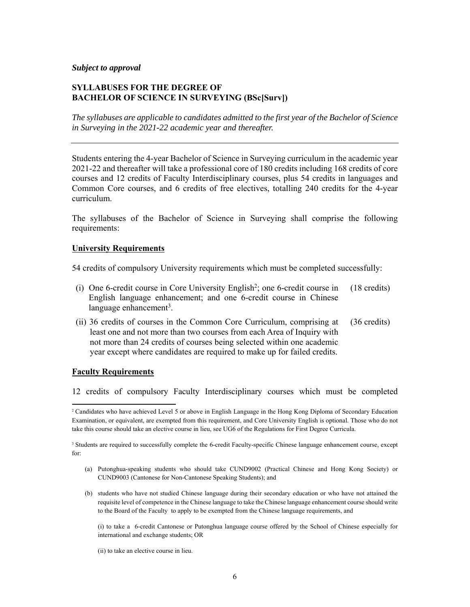### *Subject to approval*

### **SYLLABUSES FOR THE DEGREE OF BACHELOR OF SCIENCE IN SURVEYING (BSc[Surv])**

*The syllabuses are applicable to candidates admitted to the first year of the Bachelor of Science in Surveying in the 2021-22 academic year and thereafter.* 

Students entering the 4-year Bachelor of Science in Surveying curriculum in the academic year 2021-22 and thereafter will take a professional core of 180 credits including 168 credits of core courses and 12 credits of Faculty Interdisciplinary courses, plus 54 credits in languages and Common Core courses, and 6 credits of free electives, totalling 240 credits for the 4-year curriculum.

The syllabuses of the Bachelor of Science in Surveying shall comprise the following requirements:

## **University Requirements**

54 credits of compulsory University requirements which must be completed successfully:

- (i) One 6-credit course in Core University English2; one 6-credit course in English language enhancement; and one 6-credit course in Chinese language enhancement<sup>3</sup>. (18 credits)
- (ii) 36 credits of courses in the Common Core Curriculum, comprising at least one and not more than two courses from each Area of Inquiry with not more than 24 credits of courses being selected within one academic year except where candidates are required to make up for failed credits. (36 credits)

#### **Faculty Requirements**

12 credits of compulsory Faculty Interdisciplinary courses which must be completed

<sup>3</sup> Students are required to successfully complete the 6-credit Faculty-specific Chinese language enhancement course, except for:

- (a) Putonghua-speaking students who should take CUND9002 (Practical Chinese and Hong Kong Society) or CUND9003 (Cantonese for Non-Cantonese Speaking Students); and
- (b) students who have not studied Chinese language during their secondary education or who have not attained the requisite level of competence in the Chinese language to take the Chinese language enhancement course should write to the Board of the Faculty to apply to be exempted from the Chinese language requirements, and

(i) to take a 6-credit Cantonese or Putonghua language course offered by the School of Chinese especially for international and exchange students; OR

(ii) to take an elective course in lieu.

<sup>2</sup> Candidates who have achieved Level 5 or above in English Language in the Hong Kong Diploma of Secondary Education Examination, or equivalent, are exempted from this requirement, and Core University English is optional. Those who do not take this course should take an elective course in lieu, see UG6 of the Regulations for First Degree Curricula.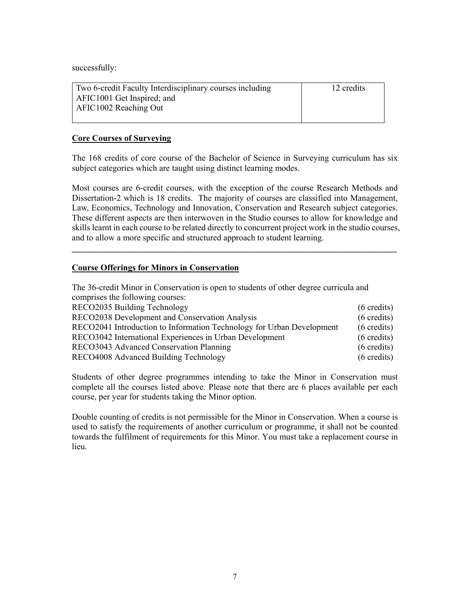successfully:

| Two 6-credit Faculty Interdisciplinary courses including | 12 credits |
|----------------------------------------------------------|------------|
| AFIC1001 Get Inspired; and                               |            |
| AFIC1002 Reaching Out                                    |            |
|                                                          |            |

# **Core Courses of Surveying**

The 168 credits of core course of the Bachelor of Science in Surveying curriculum has six subject categories which are taught using distinct learning modes.

Most courses are 6-credit courses, with the exception of the course Research Methods and Dissertation-2 which is 18 credits. The majority of courses are classified into Management, Law, Economics, Technology and Innovation, Conservation and Research subject categories. These different aspects are then interwoven in the Studio courses to allow for knowledge and skills learnt in each course to be related directly to concurrent project work in the studio courses, and to allow a more specific and structured approach to student learning.

**\_\_\_\_\_\_\_\_\_\_\_\_\_\_\_\_\_\_\_\_\_\_\_\_\_\_\_\_\_\_\_\_\_\_\_\_\_\_\_\_\_\_\_\_\_\_\_\_\_\_\_\_\_\_\_\_\_\_\_\_\_\_\_\_\_\_\_\_\_\_\_\_\_\_\_** 

# **Course Offerings for Minors in Conservation**

The 36-credit Minor in Conservation is open to students of other degree curricula and comprises the following courses: RECO2035 Building Technology (6 credits) RECO2038 Development and Conservation Analysis (6 credits) RECO2041 Introduction to Information Technology for Urban Development (6 credits) RECO3042 International Experiences in Urban Development (6 credits) RECO3043 Advanced Conservation Planning (6 credits)

RECO4008 Advanced Building Technology (6 credits)

Students of other degree programmes intending to take the Minor in Conservation must complete all the courses listed above. Please note that there are 6 places available per each course, per year for students taking the Minor option.

Double counting of credits is not permissible for the Minor in Conservation. When a course is used to satisfy the requirements of another curriculum or programme, it shall not be counted towards the fulfilment of requirements for this Minor. You must take a replacement course in lieu.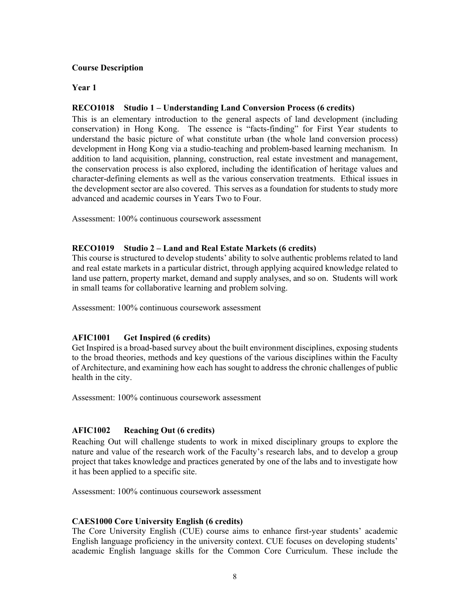# **Course Description**

# **Year 1**

# **RECO1018 Studio 1 – Understanding Land Conversion Process (6 credits)**

This is an elementary introduction to the general aspects of land development (including conservation) in Hong Kong. The essence is "facts-finding" for First Year students to understand the basic picture of what constitute urban (the whole land conversion process) development in Hong Kong via a studio-teaching and problem-based learning mechanism. In addition to land acquisition, planning, construction, real estate investment and management, the conservation process is also explored, including the identification of heritage values and character-defining elements as well as the various conservation treatments. Ethical issues in the development sector are also covered. This serves as a foundation for students to study more advanced and academic courses in Years Two to Four.

Assessment: 100% continuous coursework assessment

# **RECO1019 Studio 2 – Land and Real Estate Markets (6 credits)**

This course is structured to develop students' ability to solve authentic problems related to land and real estate markets in a particular district, through applying acquired knowledge related to land use pattern, property market, demand and supply analyses, and so on. Students will work in small teams for collaborative learning and problem solving.

Assessment: 100% continuous coursework assessment

# **AFIC1001 Get Inspired (6 credits)**

Get Inspired is a broad-based survey about the built environment disciplines, exposing students to the broad theories, methods and key questions of the various disciplines within the Faculty of Architecture, and examining how each has sought to address the chronic challenges of public health in the city.

Assessment: 100% continuous coursework assessment

# **AFIC1002 Reaching Out (6 credits)**

Reaching Out will challenge students to work in mixed disciplinary groups to explore the nature and value of the research work of the Faculty's research labs, and to develop a group project that takes knowledge and practices generated by one of the labs and to investigate how it has been applied to a specific site.

Assessment: 100% continuous coursework assessment

## **CAES1000 Core University English (6 credits)**

The Core University English (CUE) course aims to enhance first-year students' academic English language proficiency in the university context. CUE focuses on developing students' academic English language skills for the Common Core Curriculum. These include the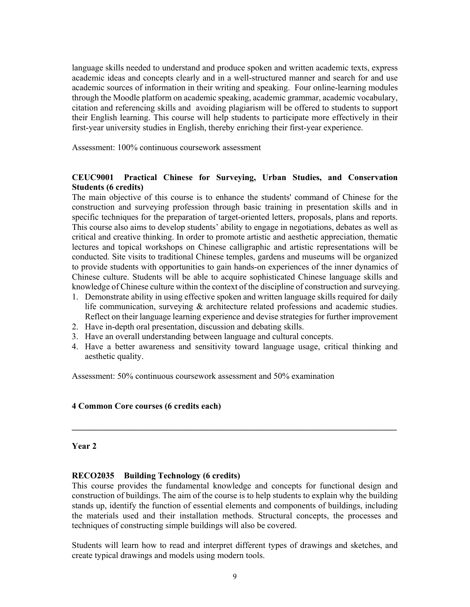language skills needed to understand and produce spoken and written academic texts, express academic ideas and concepts clearly and in a well-structured manner and search for and use academic sources of information in their writing and speaking. Four online-learning modules through the Moodle platform on academic speaking, academic grammar, academic vocabulary, citation and referencing skills and avoiding plagiarism will be offered to students to support their English learning. This course will help students to participate more effectively in their first-year university studies in English, thereby enriching their first-year experience.

Assessment: 100% continuous coursework assessment

# **CEUC9001 Practical Chinese for Surveying, Urban Studies, and Conservation Students (6 credits)**

The main objective of this course is to enhance the students' command of Chinese for the construction and surveying profession through basic training in presentation skills and in specific techniques for the preparation of target-oriented letters, proposals, plans and reports. This course also aims to develop students' ability to engage in negotiations, debates as well as critical and creative thinking. In order to promote artistic and aesthetic appreciation, thematic lectures and topical workshops on Chinese calligraphic and artistic representations will be conducted. Site visits to traditional Chinese temples, gardens and museums will be organized to provide students with opportunities to gain hands-on experiences of the inner dynamics of Chinese culture. Students will be able to acquire sophisticated Chinese language skills and knowledge of Chinese culture within the context of the discipline of construction and surveying.

- 1. Demonstrate ability in using effective spoken and written language skills required for daily life communication, surveying & architecture related professions and academic studies. Reflect on their language learning experience and devise strategies for further improvement
- 2. Have in-depth oral presentation, discussion and debating skills.
- 3. Have an overall understanding between language and cultural concepts.
- 4. Have a better awareness and sensitivity toward language usage, critical thinking and aesthetic quality.

**\_\_\_\_\_\_\_\_\_\_\_\_\_\_\_\_\_\_\_\_\_\_\_\_\_\_\_\_\_\_\_\_\_\_\_\_\_\_\_\_\_\_\_\_\_\_\_\_\_\_\_\_\_\_\_\_\_\_\_\_\_\_\_\_\_\_\_\_\_\_\_\_\_\_\_** 

Assessment: 50% continuous coursework assessment and 50% examination

## **4 Common Core courses (6 credits each)**

#### **Year 2**

## **RECO2035 Building Technology (6 credits)**

This course provides the fundamental knowledge and concepts for functional design and construction of buildings. The aim of the course is to help students to explain why the building stands up, identify the function of essential elements and components of buildings, including the materials used and their installation methods. Structural concepts, the processes and techniques of constructing simple buildings will also be covered.

Students will learn how to read and interpret different types of drawings and sketches, and create typical drawings and models using modern tools.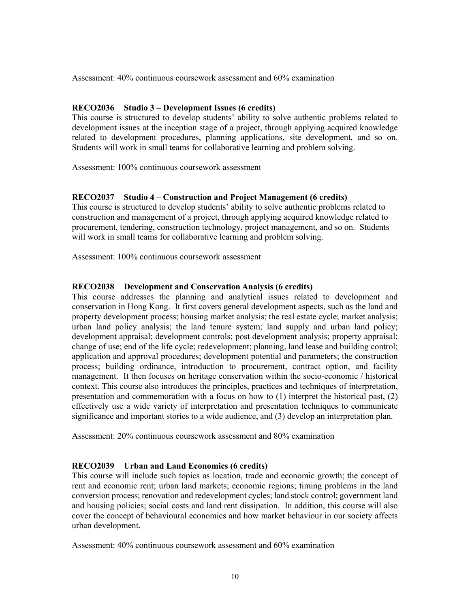Assessment: 40% continuous coursework assessment and 60% examination

## **RECO2036 Studio 3 – Development Issues (6 credits)**

This course is structured to develop students' ability to solve authentic problems related to development issues at the inception stage of a project, through applying acquired knowledge related to development procedures, planning applications, site development, and so on. Students will work in small teams for collaborative learning and problem solving.

Assessment: 100% continuous coursework assessment

### **RECO2037 Studio 4 – Construction and Project Management (6 credits)**

This course is structured to develop students' ability to solve authentic problems related to construction and management of a project, through applying acquired knowledge related to procurement, tendering, construction technology, project management, and so on. Students will work in small teams for collaborative learning and problem solving.

Assessment: 100% continuous coursework assessment

### **RECO2038 Development and Conservation Analysis (6 credits)**

This course addresses the planning and analytical issues related to development and conservation in Hong Kong. It first covers general development aspects, such as the land and property development process; housing market analysis; the real estate cycle; market analysis; urban land policy analysis; the land tenure system; land supply and urban land policy; development appraisal; development controls; post development analysis; property appraisal; change of use; end of the life cycle; redevelopment; planning, land lease and building control; application and approval procedures; development potential and parameters; the construction process; building ordinance, introduction to procurement, contract option, and facility management. It then focuses on heritage conservation within the socio-economic / historical context. This course also introduces the principles, practices and techniques of interpretation, presentation and commemoration with a focus on how to (1) interpret the historical past, (2) effectively use a wide variety of interpretation and presentation techniques to communicate significance and important stories to a wide audience, and (3) develop an interpretation plan.

Assessment: 20% continuous coursework assessment and 80% examination

## **RECO2039 Urban and Land Economics (6 credits)**

This course will include such topics as location, trade and economic growth; the concept of rent and economic rent; urban land markets; economic regions; timing problems in the land conversion process; renovation and redevelopment cycles; land stock control; government land and housing policies; social costs and land rent dissipation. In addition, this course will also cover the concept of behavioural economics and how market behaviour in our society affects urban development.

Assessment: 40% continuous coursework assessment and 60% examination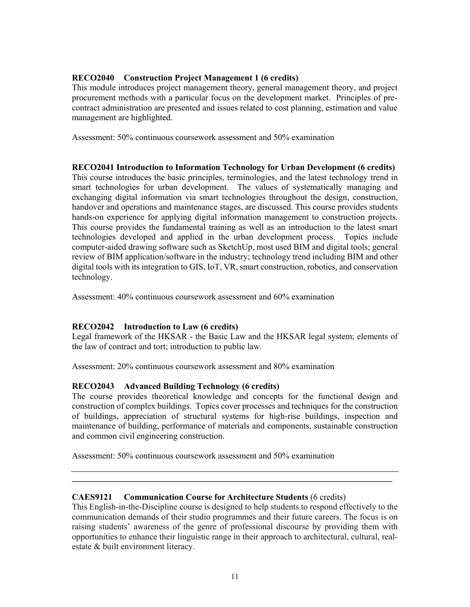# **RECO2040 Construction Project Management 1 (6 credits)**

This module introduces project management theory, general management theory, and project procurement methods with a particular focus on the development market. Principles of precontract administration are presented and issues related to cost planning, estimation and value management are highlighted.

Assessment: 50% continuous coursework assessment and 50% examination

## **RECO2041 Introduction to Information Technology for Urban Development (6 credits)**

This course introduces the basic principles, terminologies, and the latest technology trend in smart technologies for urban development. The values of systematically managing and exchanging digital information via smart technologies throughout the design, construction, handover and operations and maintenance stages, are discussed. This course provides students hands-on experience for applying digital information management to construction projects. This course provides the fundamental training as well as an introduction to the latest smart technologies developed and applied in the urban development process. Topics include computer-aided drawing software such as SketchUp, most used BIM and digital tools; general review of BIM application/software in the industry; technology trend including BIM and other digital tools with its integration to GIS, IoT, VR, smart construction, robotics, and conservation technology.

Assessment: 40% continuous coursework assessment and 60% examination

# **RECO2042 Introduction to Law (6 credits)**

Legal framework of the HKSAR - the Basic Law and the HKSAR legal system; elements of the law of contract and tort; introduction to public law.

Assessment: 20% continuous coursework assessment and 80% examination

## **RECO2043 Advanced Building Technology (6 credits)**

The course provides theoretical knowledge and concepts for the functional design and construction of complex buildings. Topics cover processes and techniques for the construction of buildings, appreciation of structural systems for high-rise buildings, inspection and maintenance of building, performance of materials and components, sustainable construction and common civil engineering construction.

Assessment: 50% continuous coursework assessment and 50% examination

## **CAES9121 Communication Course for Architecture Students** (6 credits)

This English-in-the-Discipline course is designed to help students to respond effectively to the communication demands of their studio programmes and their future careers. The focus is on raising students' awareness of the genre of professional discourse by providing them with opportunities to enhance their linguistic range in their approach to architectural, cultural, realestate & built environment literacy.

**\_\_\_\_\_\_\_\_\_\_\_\_\_\_\_\_\_\_\_\_\_\_\_\_\_\_\_\_\_\_\_\_\_\_\_\_\_\_\_\_\_\_\_\_\_\_\_\_\_\_\_\_\_\_\_\_\_\_\_\_\_\_\_\_\_\_\_\_\_\_\_\_\_\_**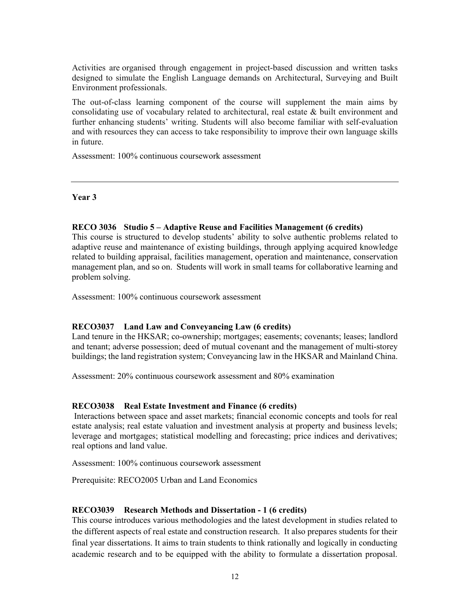Activities are organised through engagement in project-based discussion and written tasks designed to simulate the English Language demands on Architectural, Surveying and Built Environment professionals.

The out-of-class learning component of the course will supplement the main aims by consolidating use of vocabulary related to architectural, real estate & built environment and further enhancing students' writing. Students will also become familiar with self-evaluation and with resources they can access to take responsibility to improve their own language skills in future.

Assessment: 100% continuous coursework assessment

#### **Year 3**

### **RECO 3036 Studio 5 – Adaptive Reuse and Facilities Management (6 credits)**

This course is structured to develop students' ability to solve authentic problems related to adaptive reuse and maintenance of existing buildings, through applying acquired knowledge related to building appraisal, facilities management, operation and maintenance, conservation management plan, and so on. Students will work in small teams for collaborative learning and problem solving.

Assessment: 100% continuous coursework assessment

#### **RECO3037 Land Law and Conveyancing Law (6 credits)**

Land tenure in the HKSAR; co-ownership; mortgages; easements; covenants; leases; landlord and tenant; adverse possession; deed of mutual covenant and the management of multi-storey buildings; the land registration system; Conveyancing law in the HKSAR and Mainland China.

Assessment: 20% continuous coursework assessment and 80% examination

#### **RECO3038 Real Estate Investment and Finance (6 credits)**

 Interactions between space and asset markets; financial economic concepts and tools for real estate analysis; real estate valuation and investment analysis at property and business levels; leverage and mortgages; statistical modelling and forecasting; price indices and derivatives; real options and land value.

Assessment: 100% continuous coursework assessment

Prerequisite: RECO2005 Urban and Land Economics

#### **RECO3039 Research Methods and Dissertation - 1 (6 credits)**

This course introduces various methodologies and the latest development in studies related to the different aspects of real estate and construction research. It also prepares students for their final year dissertations. It aims to train students to think rationally and logically in conducting academic research and to be equipped with the ability to formulate a dissertation proposal.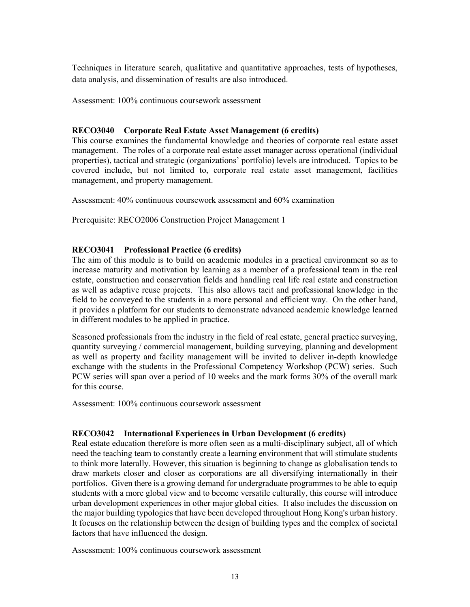Techniques in literature search, qualitative and quantitative approaches, tests of hypotheses, data analysis, and dissemination of results are also introduced.

Assessment: 100% continuous coursework assessment

## **RECO3040 Corporate Real Estate Asset Management (6 credits)**

This course examines the fundamental knowledge and theories of corporate real estate asset management. The roles of a corporate real estate asset manager across operational (individual properties), tactical and strategic (organizations' portfolio) levels are introduced. Topics to be covered include, but not limited to, corporate real estate asset management, facilities management, and property management.

Assessment: 40% continuous coursework assessment and 60% examination

Prerequisite: RECO2006 Construction Project Management 1

# **RECO3041 Professional Practice (6 credits)**

The aim of this module is to build on academic modules in a practical environment so as to increase maturity and motivation by learning as a member of a professional team in the real estate, construction and conservation fields and handling real life real estate and construction as well as adaptive reuse projects. This also allows tacit and professional knowledge in the field to be conveyed to the students in a more personal and efficient way. On the other hand, it provides a platform for our students to demonstrate advanced academic knowledge learned in different modules to be applied in practice.

Seasoned professionals from the industry in the field of real estate, general practice surveying, quantity surveying / commercial management, building surveying, planning and development as well as property and facility management will be invited to deliver in-depth knowledge exchange with the students in the Professional Competency Workshop (PCW) series. Such PCW series will span over a period of 10 weeks and the mark forms 30% of the overall mark for this course.

Assessment: 100% continuous coursework assessment

## **RECO3042 International Experiences in Urban Development (6 credits)**

Real estate education therefore is more often seen as a multi-disciplinary subject, all of which need the teaching team to constantly create a learning environment that will stimulate students to think more laterally. However, this situation is beginning to change as globalisation tends to draw markets closer and closer as corporations are all diversifying internationally in their portfolios. Given there is a growing demand for undergraduate programmes to be able to equip students with a more global view and to become versatile culturally, this course will introduce urban development experiences in other major global cities. It also includes the discussion on the major building typologies that have been developed throughout Hong Kong's urban history. It focuses on the relationship between the design of building types and the complex of societal factors that have influenced the design.

Assessment: 100% continuous coursework assessment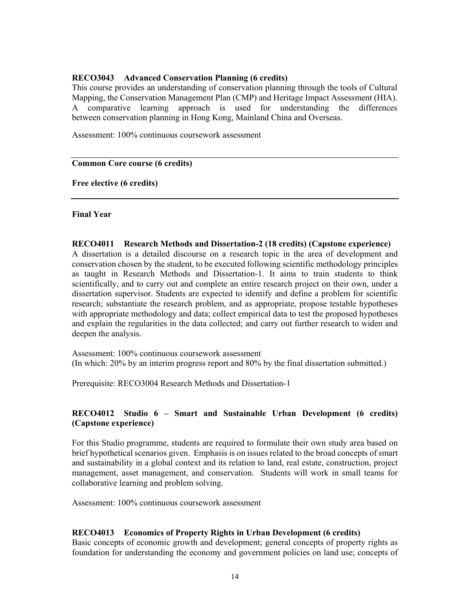# **RECO3043 Advanced Conservation Planning (6 credits)**

This course provides an understanding of conservation planning through the tools of Cultural Mapping, the Conservation Management Plan (CMP) and Heritage Impact Assessment (HIA). A comparative learning approach is used for understanding the differences between conservation planning in Hong Kong, Mainland China and Overseas.

Assessment: 100% continuous coursework assessment

### **Common Core course (6 credits)**

**Free elective (6 credits)** 

## **Final Year**

### **RECO4011 Research Methods and Dissertation-2 (18 credits) (Capstone experience)**

A dissertation is a detailed discourse on a research topic in the area of development and conservation chosen by the student, to be executed following scientific methodology principles as taught in Research Methods and Dissertation-1. It aims to train students to think scientifically, and to carry out and complete an entire research project on their own, under a dissertation supervisor. Students are expected to identify and define a problem for scientific research; substantiate the research problem, and as appropriate, propose testable hypotheses with appropriate methodology and data; collect empirical data to test the proposed hypotheses and explain the regularities in the data collected; and carry out further research to widen and deepen the analysis.

Assessment: 100% continuous coursework assessment (In which: 20% by an interim progress report and 80% by the final dissertation submitted.)

Prerequisite: RECO3004 Research Methods and Dissertation-1

# **RECO4012 Studio 6 – Smart and Sustainable Urban Development (6 credits) (Capstone experience)**

For this Studio programme, students are required to formulate their own study area based on brief hypothetical scenarios given. Emphasis is on issues related to the broad concepts of smart and sustainability in a global context and its relation to land, real estate, construction, project management, asset management, and conservation. Students will work in small teams for collaborative learning and problem solving.

Assessment: 100% continuous coursework assessment

## **RECO4013 Economics of Property Rights in Urban Development (6 credits)**

Basic concepts of economic growth and development; general concepts of property rights as foundation for understanding the economy and government policies on land use; concepts of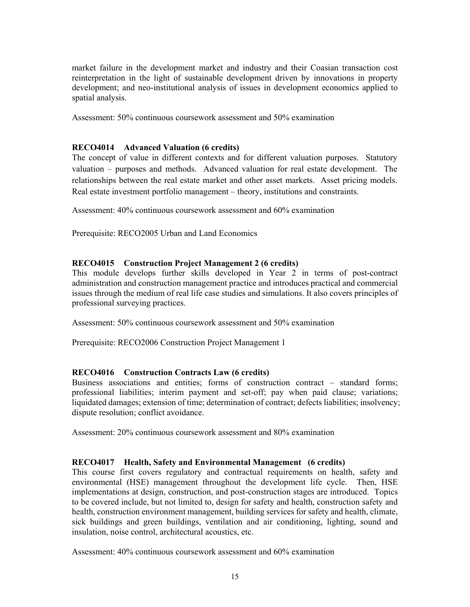market failure in the development market and industry and their Coasian transaction cost reinterpretation in the light of sustainable development driven by innovations in property development; and neo-institutional analysis of issues in development economics applied to spatial analysis.

Assessment: 50% continuous coursework assessment and 50% examination

## **RECO4014 Advanced Valuation (6 credits)**

The concept of value in different contexts and for different valuation purposes. Statutory valuation – purposes and methods. Advanced valuation for real estate development. The relationships between the real estate market and other asset markets. Asset pricing models. Real estate investment portfolio management – theory, institutions and constraints.

Assessment: 40% continuous coursework assessment and 60% examination

Prerequisite: RECO2005 Urban and Land Economics

### **RECO4015 Construction Project Management 2 (6 credits)**

This module develops further skills developed in Year 2 in terms of post-contract administration and construction management practice and introduces practical and commercial issues through the medium of real life case studies and simulations. It also covers principles of professional surveying practices.

Assessment: 50% continuous coursework assessment and 50% examination

Prerequisite: RECO2006 Construction Project Management 1

#### **RECO4016 Construction Contracts Law (6 credits)**

Business associations and entities; forms of construction contract – standard forms; professional liabilities; interim payment and set-off; pay when paid clause; variations; liquidated damages; extension of time; determination of contract; defects liabilities; insolvency; dispute resolution; conflict avoidance.

Assessment: 20% continuous coursework assessment and 80% examination

#### **RECO4017 Health, Safety and Environmental Management (6 credits)**

This course first covers regulatory and contractual requirements on health, safety and environmental (HSE) management throughout the development life cycle. Then, HSE implementations at design, construction, and post-construction stages are introduced. Topics to be covered include, but not limited to, design for safety and health, construction safety and health, construction environment management, building services for safety and health, climate, sick buildings and green buildings, ventilation and air conditioning, lighting, sound and insulation, noise control, architectural acoustics, etc.

Assessment: 40% continuous coursework assessment and 60% examination